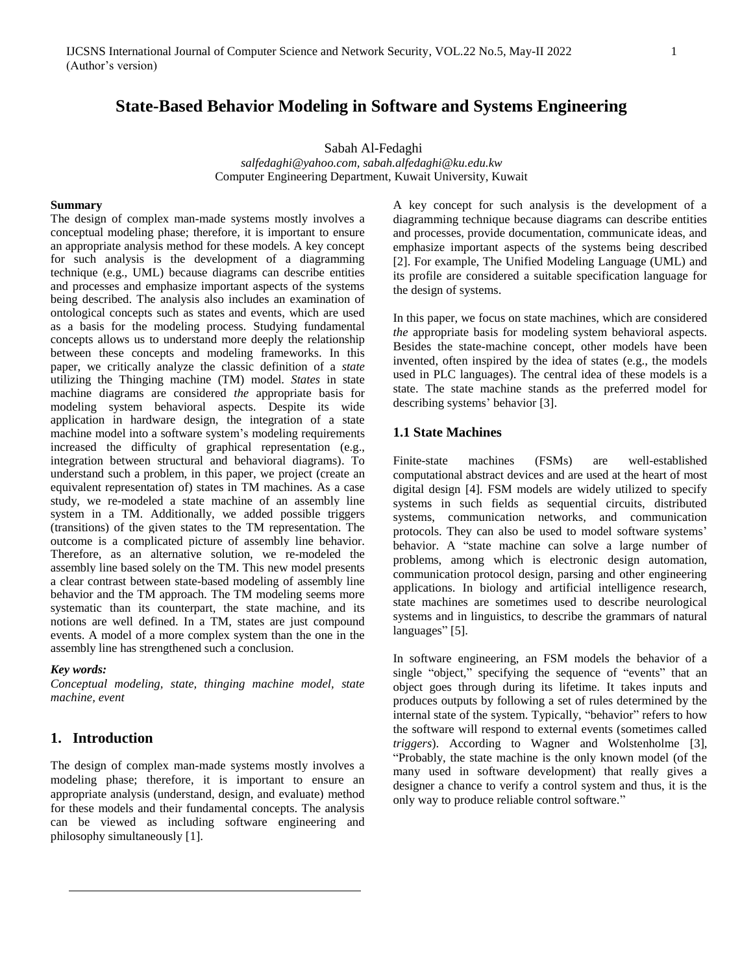# **State-Based Behavior Modeling in Software and Systems Engineering**

Sabah Al-Fedaghi

*salfedaghi@yahoo.com, sabah.alfedaghi@ku.edu.kw* Computer Engineering Department, Kuwait University, Kuwait

#### **Summary**

The design of complex man-made systems mostly involves a conceptual modeling phase; therefore, it is important to ensure an appropriate analysis method for these models. A key concept for such analysis is the development of a diagramming technique (e.g., UML) because diagrams can describe entities and processes and emphasize important aspects of the systems being described. The analysis also includes an examination of ontological concepts such as states and events, which are used as a basis for the modeling process. Studying fundamental concepts allows us to understand more deeply the relationship between these concepts and modeling frameworks. In this paper, we critically analyze the classic definition of a *state* utilizing the Thinging machine (TM) model. *States* in state machine diagrams are considered *the* appropriate basis for modeling system behavioral aspects. Despite its wide application in hardware design, the integration of a state machine model into a software system's modeling requirements increased the difficulty of graphical representation (e.g., integration between structural and behavioral diagrams). To understand such a problem, in this paper, we project (create an equivalent representation of) states in TM machines. As a case study, we re-modeled a state machine of an assembly line system in a TM. Additionally, we added possible triggers (transitions) of the given states to the TM representation. The outcome is a complicated picture of assembly line behavior. Therefore, as an alternative solution, we re-modeled the assembly line based solely on the TM. This new model presents a clear contrast between state-based modeling of assembly line behavior and the TM approach. The TM modeling seems more systematic than its counterpart, the state machine, and its notions are well defined. In a TM, states are just compound events. A model of a more complex system than the one in the assembly line has strengthened such a conclusion.

#### *Key words:*

*Conceptual modeling, state, thinging machine model, state machine, event*

### **1. Introduction**

The design of complex man-made systems mostly involves a modeling phase; therefore, it is important to ensure an appropriate analysis (understand, design, and evaluate) method for these models and their fundamental concepts. The analysis can be viewed as including software engineering and philosophy simultaneously [1].

A key concept for such analysis is the development of a diagramming technique because diagrams can describe entities and processes, provide documentation, communicate ideas, and emphasize important aspects of the systems being described [2]. For example, The Unified Modeling Language (UML) and its profile are considered a suitable specification language for the design of systems.

In this paper, we focus on state machines, which are considered *the* appropriate basis for modeling system behavioral aspects. Besides the state-machine concept, other models have been invented, often inspired by the idea of states (e.g., the models used in PLC languages). The central idea of these models is a state. The state machine stands as the preferred model for describing systems' behavior [3].

### **1.1 State Machines**

Finite-state machines (FSMs) are well-established computational abstract devices and are used at the heart of most digital design [4]. FSM models are widely utilized to specify systems in such fields as sequential circuits, distributed systems, communication networks, and communication protocols. They can also be used to model software systems' behavior. A "state machine can solve a large number of problems, among which is electronic design automation, communication protocol design, parsing and other engineering applications. In biology and artificial intelligence research, state machines are sometimes used to describe neurological systems and in linguistics, to describe the grammars of natural languages" [5].

In software engineering, an FSM models the behavior of a single "object," specifying the sequence of "events" that an object goes through during its lifetime. It takes inputs and produces outputs by following a set of rules determined by the internal state of the system. Typically, "behavior" refers to how the software will respond to external events (sometimes called *triggers*). According to Wagner and Wolstenholme [3], "Probably, the state machine is the only known model (of the many used in software development) that really gives a designer a chance to verify a control system and thus, it is the only way to produce reliable control software."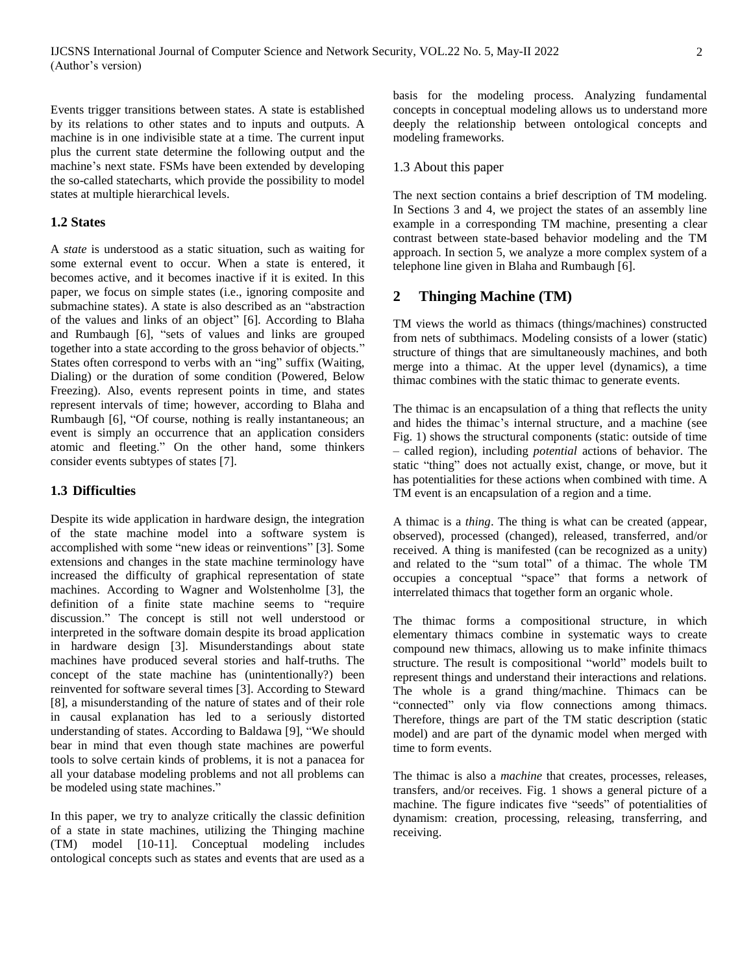Events trigger transitions between states. A state is established by its relations to other states and to inputs and outputs. A machine is in one indivisible state at a time. The current input plus the current state determine the following output and the machine's next state. FSMs have been extended by developing the so-called statecharts, which provide the possibility to model states at multiple hierarchical levels.

### **1.2 States**

A *state* is understood as a static situation, such as waiting for some external event to occur. When a state is entered, it becomes active, and it becomes inactive if it is exited. In this paper, we focus on simple states (i.e., ignoring composite and submachine states). A state is also described as an "abstraction of the values and links of an object" [6]. According to Blaha and Rumbaugh [6], "sets of values and links are grouped together into a state according to the gross behavior of objects." States often correspond to verbs with an "ing" suffix (Waiting, Dialing) or the duration of some condition (Powered, Below Freezing). Also, events represent points in time, and states represent intervals of time; however, according to Blaha and Rumbaugh [6], "Of course, nothing is really instantaneous; an event is simply an occurrence that an application considers atomic and fleeting." On the other hand, some thinkers consider events subtypes of states [7].

#### **1.3 Difficulties**

Despite its wide application in hardware design, the integration of the state machine model into a software system is accomplished with some "new ideas or reinventions" [3]. Some extensions and changes in the state machine terminology have increased the difficulty of graphical representation of state machines. According to Wagner and Wolstenholme [3], the definition of a finite state machine seems to "require discussion." The concept is still not well understood or interpreted in the software domain despite its broad application in hardware design [3]. Misunderstandings about state machines have produced several stories and half-truths. The concept of the state machine has (unintentionally?) been reinvented for software several times [3]. According to Steward [8], a misunderstanding of the nature of states and of their role in causal explanation has led to a seriously distorted understanding of states. According to Baldawa [9], "We should bear in mind that even though state machines are powerful tools to solve certain kinds of problems, it is not a panacea for all your database modeling problems and not all problems can be modeled using state machines."

In this paper, we try to analyze critically the classic definition of a state in state machines, utilizing the Thinging machine (TM) model [10-11]. Conceptual modeling includes ontological concepts such as states and events that are used as a

basis for the modeling process. Analyzing fundamental concepts in conceptual modeling allows us to understand more deeply the relationship between ontological concepts and modeling frameworks.

#### 1.3 About this paper

The next section contains a brief description of TM modeling. In Sections 3 and 4, we project the states of an assembly line example in a corresponding TM machine, presenting a clear contrast between state-based behavior modeling and the TM approach. In section 5, we analyze a more complex system of a telephone line given in Blaha and Rumbaugh [6].

## **2 Thinging Machine (TM)**

TM views the world as thimacs (things/machines) constructed from nets of subthimacs. Modeling consists of a lower (static) structure of things that are simultaneously machines, and both merge into a thimac. At the upper level (dynamics), a time thimac combines with the static thimac to generate events.

The thimac is an encapsulation of a thing that reflects the unity and hides the thimac's internal structure, and a machine (see Fig. 1) shows the structural components (static: outside of time – called region), including *potential* actions of behavior. The static "thing" does not actually exist, change, or move, but it has potentialities for these actions when combined with time. A TM event is an encapsulation of a region and a time.

A thimac is a *thing*. The thing is what can be created (appear, observed), processed (changed), released, transferred, and/or received. A thing is manifested (can be recognized as a unity) and related to the "sum total" of a thimac. The whole TM occupies a conceptual "space" that forms a network of interrelated thimacs that together form an organic whole.

The thimac forms a compositional structure, in which elementary thimacs combine in systematic ways to create compound new thimacs, allowing us to make infinite thimacs structure. The result is compositional "world" models built to represent things and understand their interactions and relations. The whole is a grand thing/machine. Thimacs can be "connected" only via flow connections among thimacs. Therefore, things are part of the TM static description (static model) and are part of the dynamic model when merged with time to form events.

The thimac is also a *machine* that creates, processes, releases, transfers, and/or receives. Fig. 1 shows a general picture of a machine. The figure indicates five "seeds" of potentialities of dynamism: creation, processing, releasing, transferring, and receiving.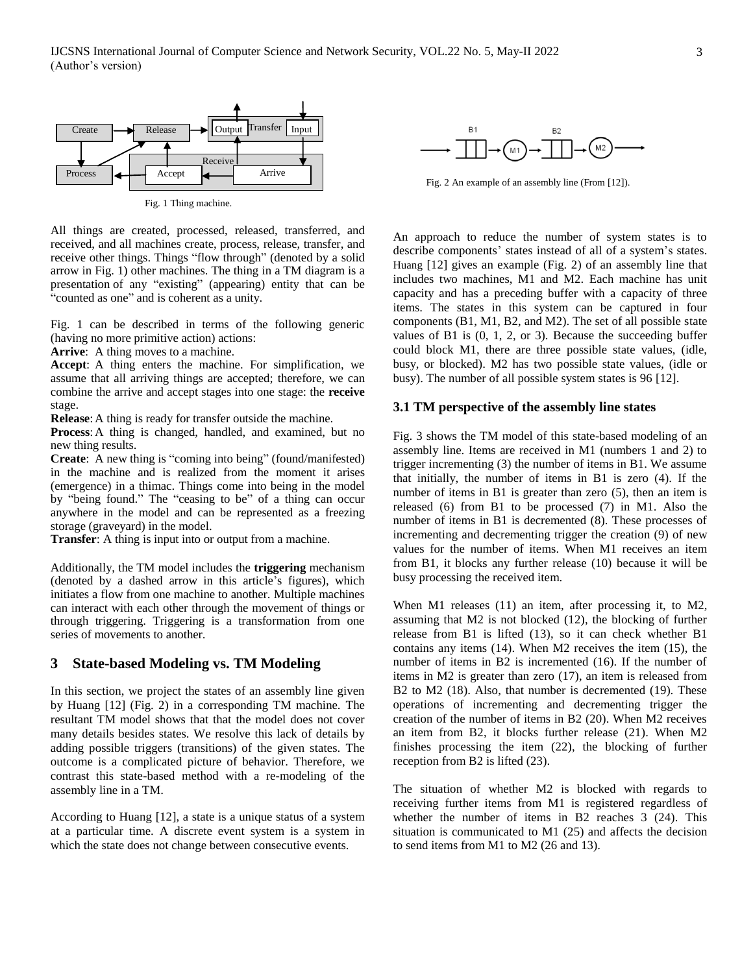

Fig. 1 Thing machine.

All things are created, processed, released, transferred, and received, and all machines create, process, release, transfer, and receive other things. Things "flow through" (denoted by a solid arrow in Fig. 1) other machines. The thing in a TM diagram is a presentation of any "existing" (appearing) entity that can be "counted as one" and is coherent as a unity.

Fig. 1 can be described in terms of the following generic (having no more primitive action) actions:

**Arrive**: A thing moves to a machine.

**Accept**: A thing enters the machine. For simplification, we assume that all arriving things are accepted; therefore, we can combine the arrive and accept stages into one stage: the **receive** stage.

**Release**:A thing is ready for transfer outside the machine.

**Process**:A thing is changed, handled, and examined, but no new thing results.

**Create**: A new thing is "coming into being" (found/manifested) in the machine and is realized from the moment it arises (emergence) in a thimac. Things come into being in the model by "being found." The "ceasing to be" of a thing can occur anywhere in the model and can be represented as a freezing storage (graveyard) in the model.

**Transfer**: A thing is input into or output from a machine.

Additionally, the TM model includes the **triggering** mechanism (denoted by a dashed arrow in this article's figures), which initiates a flow from one machine to another. Multiple machines can interact with each other through the movement of things or through triggering. Triggering is a transformation from one series of movements to another.

### **3 State-based Modeling vs. TM Modeling**

In this section, we project the states of an assembly line given by Huang [12] (Fig. 2) in a corresponding TM machine. The resultant TM model shows that that the model does not cover many details besides states. We resolve this lack of details by adding possible triggers (transitions) of the given states. The outcome is a complicated picture of behavior. Therefore, we contrast this state-based method with a re-modeling of the assembly line in a TM.

According to Huang [12], a state is a unique status of a system at a particular time. A discrete event system is a system in which the state does not change between consecutive events.



Fig. 2 An example of an assembly line (From [12]).

An approach to reduce the number of system states is to describe components' states instead of all of a system's states. Huang [12] gives an example (Fig. 2) of an assembly line that includes two machines, M1 and M2. Each machine has unit capacity and has a preceding buffer with a capacity of three items. The states in this system can be captured in four components (B1, M1, B2, and M2). The set of all possible state values of B1 is (0, 1, 2, or 3). Because the succeeding buffer could block M1, there are three possible state values, (idle, busy, or blocked). M2 has two possible state values, (idle or busy). The number of all possible system states is 96 [12].

#### **3.1 TM perspective of the assembly line states**

Fig. 3 shows the TM model of this state-based modeling of an assembly line. Items are received in M1 (numbers 1 and 2) to trigger incrementing (3) the number of items in B1. We assume that initially, the number of items in B1 is zero (4). If the number of items in B1 is greater than zero (5), then an item is released (6) from B1 to be processed (7) in M1. Also the number of items in B1 is decremented (8). These processes of incrementing and decrementing trigger the creation (9) of new values for the number of items. When M1 receives an item from B1, it blocks any further release (10) because it will be busy processing the received item.

When M1 releases (11) an item, after processing it, to M2, assuming that M2 is not blocked (12), the blocking of further release from B1 is lifted (13), so it can check whether B1 contains any items (14). When M2 receives the item (15), the number of items in B2 is incremented (16). If the number of items in M2 is greater than zero (17), an item is released from B2 to M2 (18). Also, that number is decremented (19). These operations of incrementing and decrementing trigger the creation of the number of items in B2 (20). When M2 receives an item from B2, it blocks further release (21). When M2 finishes processing the item (22), the blocking of further reception from B2 is lifted (23).

The situation of whether M2 is blocked with regards to receiving further items from M1 is registered regardless of whether the number of items in B2 reaches 3 (24). This situation is communicated to M1 (25) and affects the decision to send items from M1 to M2 (26 and 13).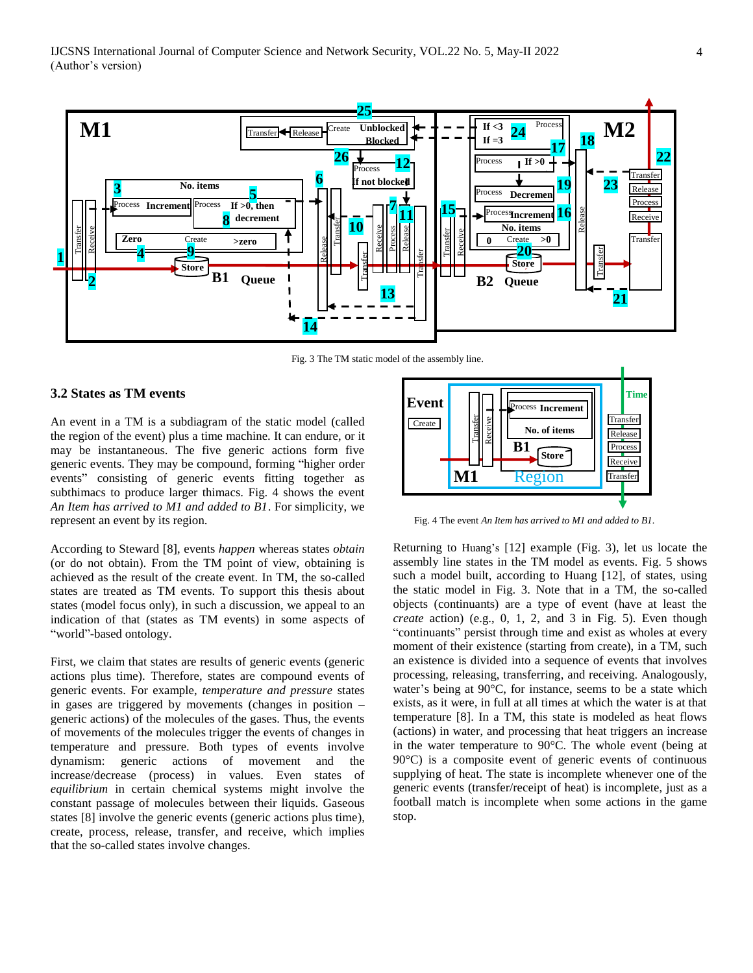

Fig. 3 The TM static model of the assembly line.

### **3.2 States as TM events**

An event in a TM is a subdiagram of the static model (called the region of the event) plus a time machine. It can endure, or it may be instantaneous. The five generic actions form five generic events. They may be compound, forming "higher order events" consisting of generic events fitting together as subthimacs to produce larger thimacs. Fig. 4 shows the event *An Item has arrived to M1 and added to B1*. For simplicity, we represent an event by its region.

According to Steward [8], events *happen* whereas states *obtain* (or do not obtain). From the TM point of view, obtaining is achieved as the result of the create event. In TM, the so-called states are treated as TM events. To support this thesis about states (model focus only), in such a discussion, we appeal to an indication of that (states as TM events) in some aspects of "world"-based ontology.

First, we claim that states are results of generic events (generic actions plus time). Therefore, states are compound events of generic events. For example, *temperature and pressure* states in gases are triggered by movements (changes in position – generic actions) of the molecules of the gases. Thus, the events of movements of the molecules trigger the events of changes in temperature and pressure. Both types of events involve dynamism: generic actions of movement and the increase/decrease (process) in values. Even states of *equilibrium* in certain chemical systems might involve the constant passage of molecules between their liquids. Gaseous states [8] involve the generic events (generic actions plus time), create, process, release, transfer, and receive, which implies that the so-called states involve changes.



Fig. 4 The event *An Item has arrived to M1 and added to B1.*

Returning to Huang's [12] example (Fig. 3), let us locate the assembly line states in the TM model as events. Fig. 5 shows such a model built, according to Huang [12], of states, using the static model in Fig. 3. Note that in a TM, the so-called objects (continuants) are a type of event (have at least the *create* action) (e.g., 0, 1, 2, and 3 in Fig. 5). Even though "continuants" persist through time and exist as wholes at every moment of their existence (starting from create), in a TM, such an existence is divided into a sequence of events that involves processing, releasing, transferring, and receiving. Analogously, water's being at 90°C, for instance, seems to be a state which exists, as it were, in full at all times at which the water is at that temperature [8]. In a TM, this state is modeled as heat flows (actions) in water, and processing that heat triggers an increase in the water temperature to 90°C. The whole event (being at 90°C) is a composite event of generic events of continuous supplying of heat. The state is incomplete whenever one of the generic events (transfer/receipt of heat) is incomplete, just as a football match is incomplete when some actions in the game stop.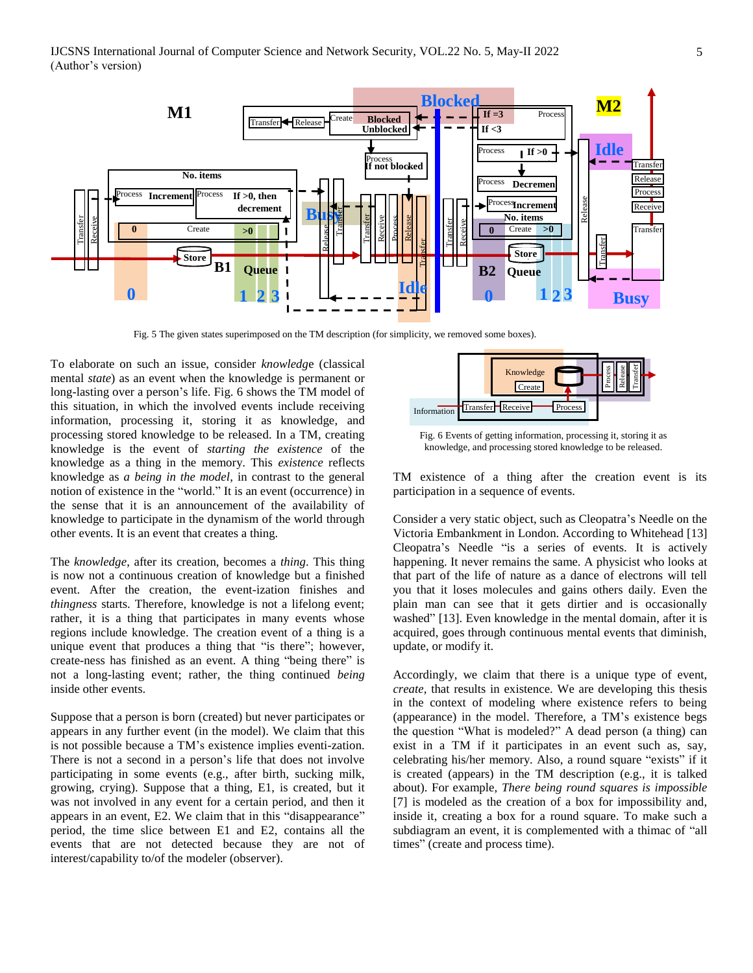

Fig. 5 The given states superimposed on the TM description (for simplicity, we removed some boxes).

To elaborate on such an issue, consider *knowledg*e (classical mental *state*) as an event when the knowledge is permanent or long-lasting over a person's life. Fig. 6 shows the TM model of this situation, in which the involved events include receiving information, processing it, storing it as knowledge, and processing stored knowledge to be released. In a TM, creating knowledge is the event of *starting the existence* of the knowledge as a thing in the memory. This *existence* reflects knowledge as *a being in the model*, in contrast to the general notion of existence in the "world." It is an event (occurrence) in the sense that it is an announcement of the availability of knowledge to participate in the dynamism of the world through other events. It is an event that creates a thing.

The *knowledge*, after its creation, becomes a *thing*. This thing is now not a continuous creation of knowledge but a finished event. After the creation, the event-ization finishes and *thingness* starts. Therefore, knowledge is not a lifelong event; rather, it is a thing that participates in many events whose regions include knowledge. The creation event of a thing is a unique event that produces a thing that "is there"; however, create-ness has finished as an event. A thing "being there" is not a long-lasting event; rather, the thing continued *being* inside other events.

Suppose that a person is born (created) but never participates or appears in any further event (in the model). We claim that this is not possible because a TM's existence implies eventi-zation. There is not a second in a person's life that does not involve participating in some events (e.g., after birth, sucking milk, growing, crying). Suppose that a thing, E1, is created, but it was not involved in any event for a certain period, and then it appears in an event, E2. We claim that in this "disappearance" period, the time slice between E1 and E2, contains all the events that are not detected because they are not of interest/capability to/of the modeler (observer).



Fig. 6 Events of getting information, processing it, storing it as knowledge, and processing stored knowledge to be released.

TM existence of a thing after the creation event is its participation in a sequence of events.

Consider a very static object, such as Cleopatra's Needle on the Victoria Embankment in London. According to Whitehead [13] Cleopatra's Needle "is a series of events. It is actively happening. It never remains the same. A physicist who looks at that part of the life of nature as a dance of electrons will tell you that it loses molecules and gains others daily. Even the plain man can see that it gets dirtier and is occasionally washed" [13]. Even knowledge in the mental domain, after it is acquired, goes through continuous mental events that diminish, update, or modify it.

Accordingly, we claim that there is a unique type of event, *create*, that results in existence. We are developing this thesis in the context of modeling where existence refers to being (appearance) in the model. Therefore, a TM's existence begs the question "What is modeled?" A dead person (a thing) can exist in a TM if it participates in an event such as, say, celebrating his/her memory. Also, a round square "exists" if it is created (appears) in the TM description (e.g., it is talked about). For example, *There being round squares is impossible* [7] is modeled as the creation of a box for impossibility and, inside it, creating a box for a round square. To make such a subdiagram an event, it is complemented with a thimac of "all times" (create and process time).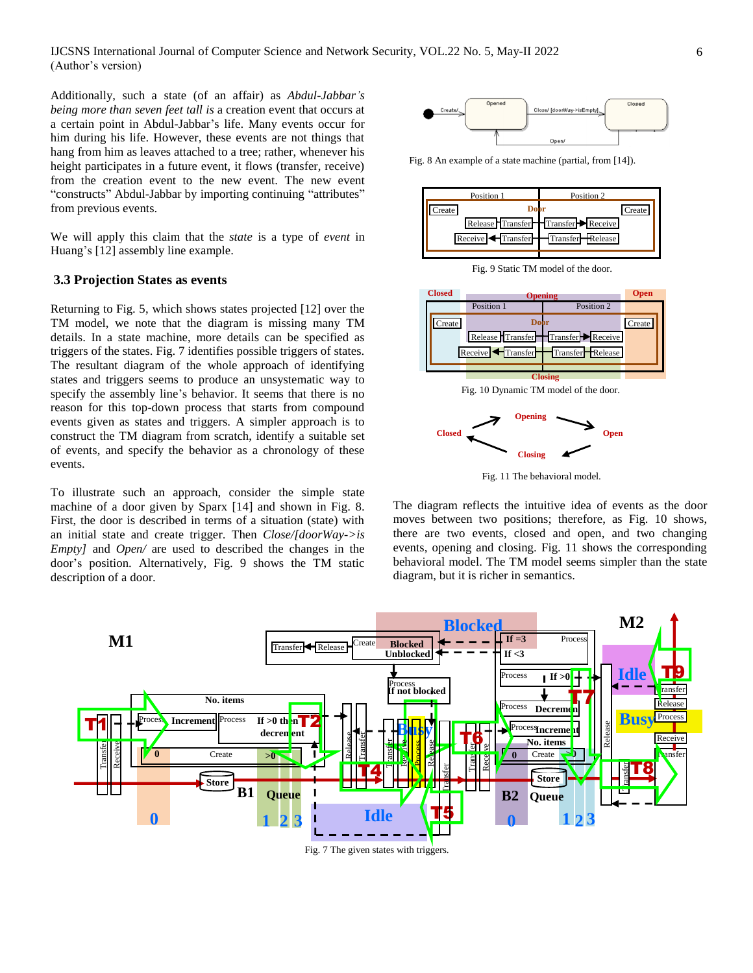Additionally, such a state (of an affair) as *Abdul-Jabbar's being more than seven feet tall is* a creation event that occurs at a certain point in Abdul-Jabbar's life. Many events occur for him during his life. However, these events are not things that hang from him as leaves attached to a tree; rather, whenever his height participates in a future event, it flows (transfer, receive) from the creation event to the new event. The new event "constructs" Abdul-Jabbar by importing continuing "attributes" from previous events.

We will apply this claim that the *state* is a type of *event* in Huang's [12] assembly line example.

### **3.3 Projection States as events**

Returning to Fig. 5, which shows states projected [12] over the TM model, we note that the diagram is missing many TM details. In a state machine, more details can be specified as triggers of the states. Fig. 7 identifies possible triggers of states. The resultant diagram of the whole approach of identifying states and triggers seems to produce an unsystematic way to specify the assembly line's behavior. It seems that there is no reason for this top-down process that starts from compound events given as states and triggers. A simpler approach is to construct the TM diagram from scratch, identify a suitable set of events, and specify the behavior as a chronology of these events.

To illustrate such an approach, consider the simple state machine of a door given by Sparx [14] and shown in Fig. 8. First, the door is described in terms of a situation (state) with an initial state and create trigger. Then *Close/[doorWay->is Empty]* and *Open/* are used to described the changes in the door's position. Alternatively, Fig. 9 shows the TM static description of a door.



Fig. 8 An example of a state machine (partial, from [14]).



Fig. 9 Static TM model of the door.



Fig. 10 Dynamic TM model of the door.



Fig. 11 The behavioral model.

The diagram reflects the intuitive idea of events as the door moves between two positions; therefore, as Fig. 10 shows, there are two events, closed and open, and two changing events, opening and closing. Fig. 11 shows the corresponding behavioral model. The TM model seems simpler than the state diagram, but it is richer in semantics.

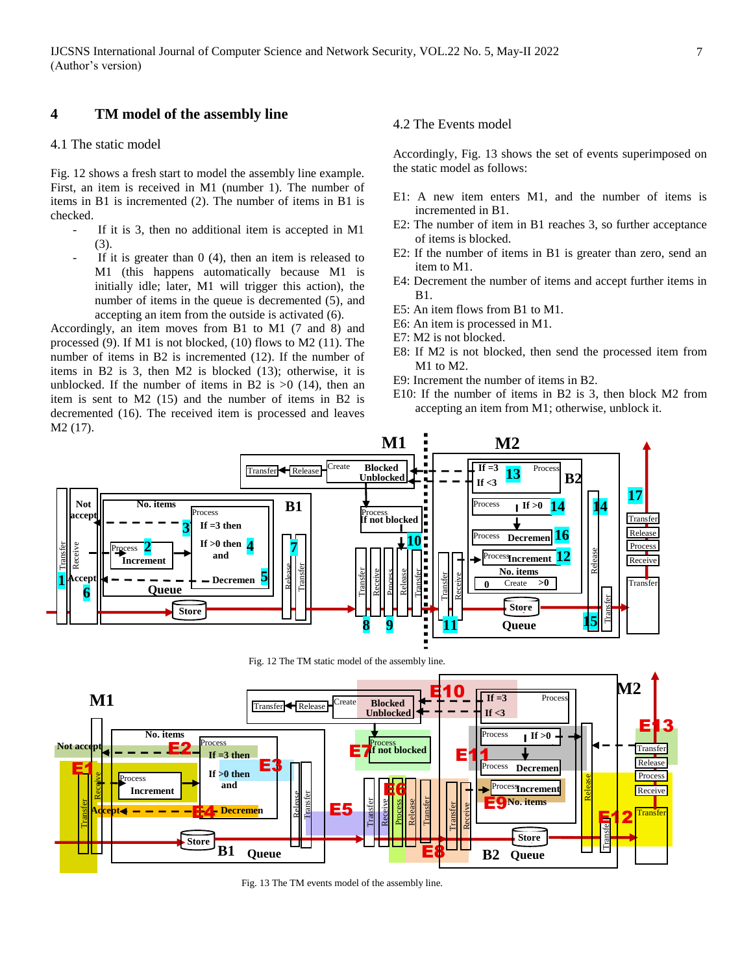## **4 TM model of the assembly line**

## 4.1 The static model

Fig. 12 shows a fresh start to model the assembly line example. First, an item is received in M1 (number 1). The number of items in B1 is incremented (2). The number of items in B1 is checked.

- If it is 3, then no additional item is accepted in M1 (3).
- If it is greater than  $0(4)$ , then an item is released to M1 (this happens automatically because M1 is initially idle; later, M1 will trigger this action), the number of items in the queue is decremented (5), and accepting an item from the outside is activated (6).

Accordingly, an item moves from B1 to M1 (7 and 8) and processed (9). If M1 is not blocked, (10) flows to M2 (11). The number of items in B2 is incremented (12). If the number of items in B2 is 3, then M2 is blocked (13); otherwise, it is unblocked. If the number of items in B2 is  $>0$  (14), then an item is sent to M2 (15) and the number of items in B2 is decremented (16). The received item is processed and leaves M2 (17).

### 4.2 The Events model

Accordingly, Fig. 13 shows the set of events superimposed on the static model as follows:

- E1: A new item enters M1, and the number of items is incremented in B1.
- E2: The number of item in B1 reaches 3, so further acceptance of items is blocked.
- E2: If the number of items in B1 is greater than zero, send an item to M1.
- E4: Decrement the number of items and accept further items in B1.
- E5: An item flows from B1 to M1.
- E6: An item is processed in M1.
- E7: M2 is not blocked.
- E8: If M2 is not blocked, then send the processed item from M1 to M2.
- E9: Increment the number of items in B2.
- E10: If the number of items in B2 is 3, then block M2 from accepting an item from M1; otherwise, unblock it.



Fig. 12 The TM static model of the assembly line.



Fig. 13 The TM events model of the assembly line.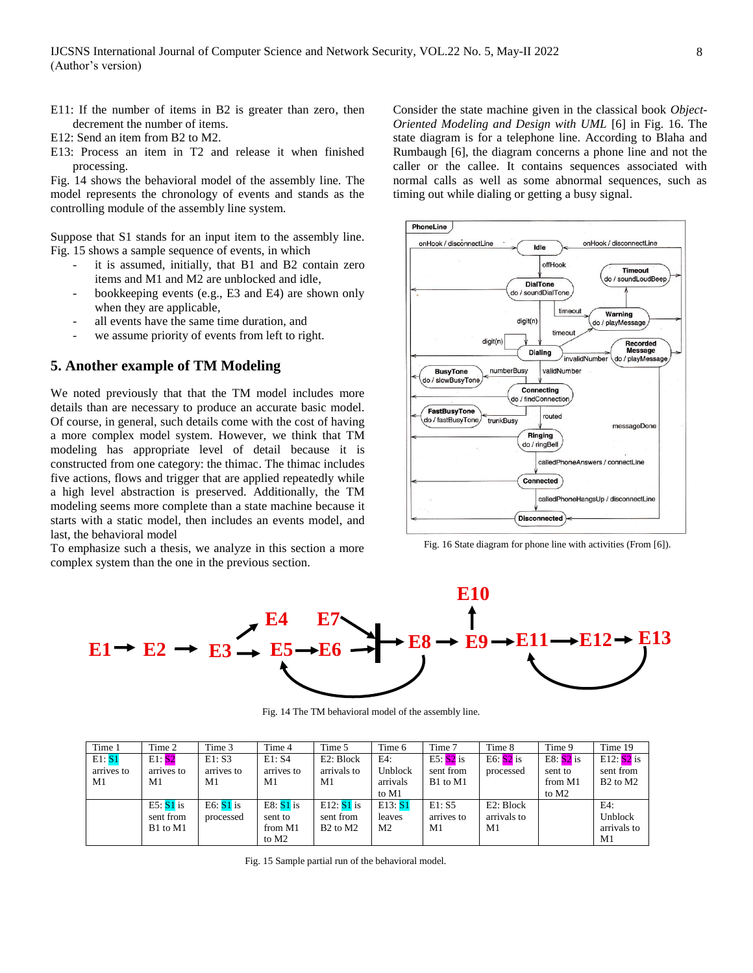- E11: If the number of items in B2 is greater than zero, then decrement the number of items.
- E12: Send an item from B2 to M2.
- E13: Process an item in T2 and release it when finished processing.

Fig. 14 shows the behavioral model of the assembly line. The model represents the chronology of events and stands as the controlling module of the assembly line system.

Suppose that S1 stands for an input item to the assembly line. Fig. 15 shows a sample sequence of events, in which

- it is assumed, initially, that B1 and B2 contain zero items and M1 and M2 are unblocked and idle,
- bookkeeping events (e.g., E3 and E4) are shown only when they are applicable,
- all events have the same time duration, and
- we assume priority of events from left to right.

#### **5. Another example of TM Modeling**

We noted previously that that the TM model includes more details than are necessary to produce an accurate basic model. Of course, in general, such details come with the cost of having a more complex model system. However, we think that TM modeling has appropriate level of detail because it is constructed from one category: the thimac. The thimac includes five actions, flows and trigger that are applied repeatedly while a high level abstraction is preserved. Additionally, the TM modeling seems more complete than a state machine because it starts with a static model, then includes an events model, and last, the behavioral model

To emphasize such a thesis, we analyze in this section a more complex system than the one in the previous section.

Consider the state machine given in the classical book *Object-Oriented Modeling and Design with UML* [6] in Fig. 16. The state diagram is for a telephone line. According to Blaha and Rumbaugh [6], the diagram concerns a phone line and not the caller or the callee. It contains sequences associated with normal calls as well as some abnormal sequences, such as timing out while dialing or getting a busy signal.



Fig. 16 State diagram for phone line with activities (From [6]).



Fig. 14 The TM behavioral model of the assembly line.

| Time 1                     | Time 2                               | Time 3                     | Time 4                                                 | Time 5                                                        | Time 6                              | Time 7                               | Time 8                         | Time 9                                                 | Time 19                                                       |
|----------------------------|--------------------------------------|----------------------------|--------------------------------------------------------|---------------------------------------------------------------|-------------------------------------|--------------------------------------|--------------------------------|--------------------------------------------------------|---------------------------------------------------------------|
| E1: S1<br>arrives to<br>M1 | E1:52<br>arrives to<br>M1            | E1: S3<br>arrives to<br>M1 | E1: S4<br>arrives to<br>M1                             | E2: Block<br>arrivals to<br>M1                                | E4:<br>Unblock<br>arrivals<br>to M1 | $E5: S2$ is<br>sent from<br>B1 to M1 | E6: $S2$ is<br>processed       | E8: $S2$ is<br>sent to<br>from M1<br>to M <sub>2</sub> | E12: $S2$ is<br>sent from<br>B <sub>2</sub> to M <sub>2</sub> |
|                            | E5: $S1$ is<br>sent from<br>B1 to M1 | E6: $S1$ is<br>processed   | E8: $S1$ is<br>sent to<br>from M1<br>to M <sub>2</sub> | E12: $S1$ is<br>sent from<br>B <sub>2</sub> to M <sub>2</sub> | E13: S1<br>leaves<br>M2             | E1: S5<br>arrives to<br>M1           | E2: Block<br>arrivals to<br>M1 |                                                        | E4:<br>Unblock<br>arrivals to<br>M1                           |

Fig. 15 Sample partial run of the behavioral model.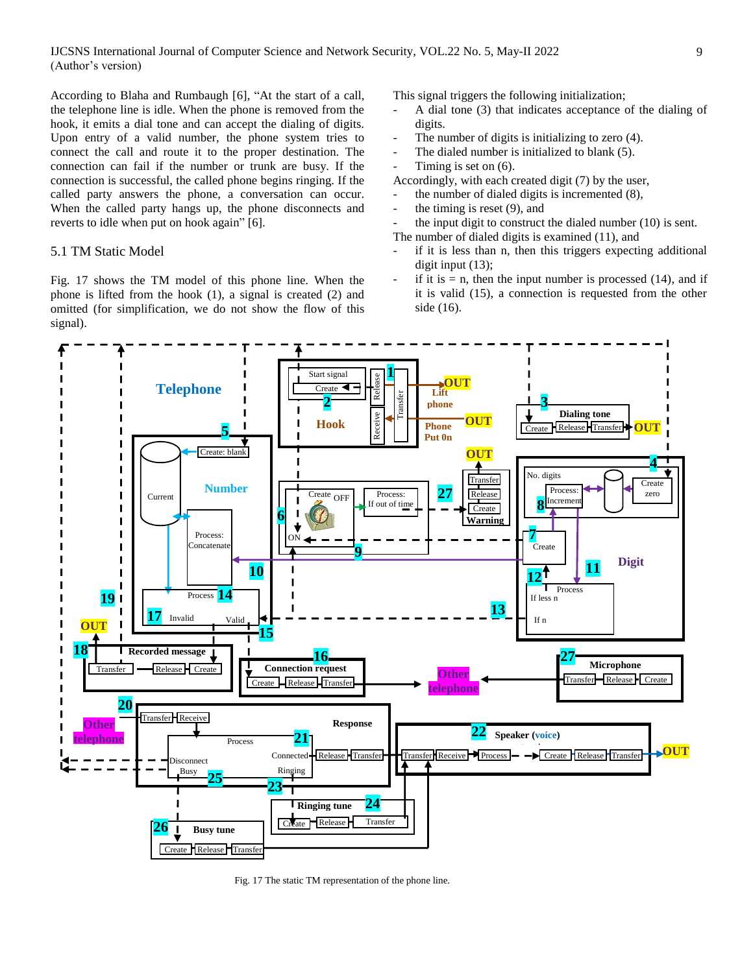According to Blaha and Rumbaugh [6], "At the start of a call, the telephone line is idle. When the phone is removed from the hook, it emits a dial tone and can accept the dialing of digits. Upon entry of a valid number, the phone system tries to connect the call and route it to the proper destination. The connection can fail if the number or trunk are busy. If the connection is successful, the called phone begins ringing. If the called party answers the phone, a conversation can occur. When the called party hangs up, the phone disconnects and reverts to idle when put on hook again" [6].

#### 5.1 TM Static Model

Fig. 17 shows the TM model of this phone line. When the phone is lifted from the hook (1), a signal is created (2) and omitted (for simplification, we do not show the flow of this signal).

This signal triggers the following initialization;

- A dial tone (3) that indicates acceptance of the dialing of digits.
- The number of digits is initializing to zero (4).
- The dialed number is initialized to blank (5).
- Timing is set on  $(6)$ .
- Accordingly, with each created digit (7) by the user,
	- the number of dialed digits is incremented  $(8)$ ,
- the timing is reset  $(9)$ , and
- the input digit to construct the dialed number  $(10)$  is sent. The number of dialed digits is examined (11), and
- if it is less than n, then this triggers expecting additional
- digit input  $(13)$ ; if it is  $= n$ , then the input number is processed (14), and if it is valid (15), a connection is requested from the other side (16).

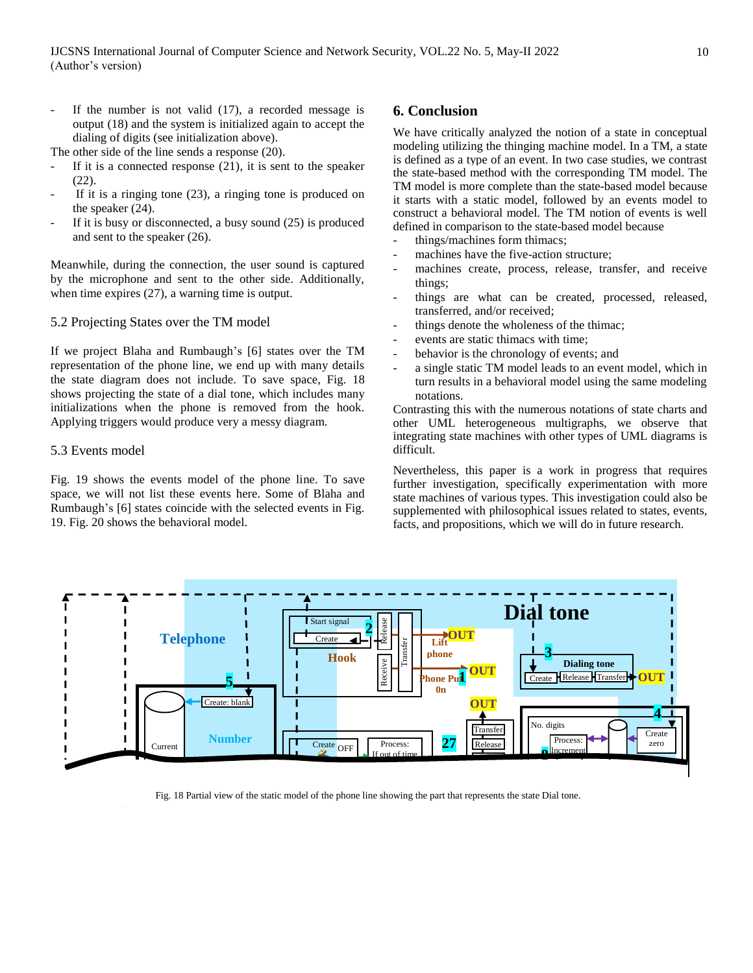If the number is not valid  $(17)$ , a recorded message is output (18) and the system is initialized again to accept the dialing of digits (see initialization above).

The other side of the line sends a response (20).

- If it is a connected response  $(21)$ , it is sent to the speaker (22).
- If it is a ringing tone  $(23)$ , a ringing tone is produced on the speaker (24).
- If it is busy or disconnected, a busy sound  $(25)$  is produced and sent to the speaker (26).

Meanwhile, during the connection, the user sound is captured by the microphone and sent to the other side. Additionally, when time expires (27), a warning time is output.

#### 5.2 Projecting States over the TM model

If we project Blaha and Rumbaugh's [6] states over the TM representation of the phone line, we end up with many details the state diagram does not include. To save space, Fig. 18 shows projecting the state of a dial tone, which includes many initializations when the phone is removed from the hook. Applying triggers would produce very a messy diagram.

#### 5.3 Events model

Fig. 19 shows the events model of the phone line. To save space, we will not list these events here. Some of Blaha and Rumbaugh's [6] states coincide with the selected events in Fig. 19. Fig. 20 shows the behavioral model.

## **6. Conclusion**

We have critically analyzed the notion of a state in conceptual modeling utilizing the thinging machine model. In a TM, a state is defined as a type of an event. In two case studies, we contrast the state-based method with the corresponding TM model. The TM model is more complete than the state-based model because it starts with a static model, followed by an events model to construct a behavioral model. The TM notion of events is well defined in comparison to the state-based model because

- things/machines form thimacs;
- machines have the five-action structure;
- machines create, process, release, transfer, and receive things;
- things are what can be created, processed, released, transferred, and/or received;
- things denote the wholeness of the thimac;
- events are static thimacs with time;
- behavior is the chronology of events; and
- a single static TM model leads to an event model, which in turn results in a behavioral model using the same modeling notations.

Contrasting this with the numerous notations of state charts and other UML heterogeneous multigraphs, we observe that integrating state machines with other types of UML diagrams is difficult.

Nevertheless, this paper is a work in progress that requires further investigation, specifically experimentation with more state machines of various types. This investigation could also be supplemented with philosophical issues related to states, events, facts, and propositions, which we will do in future research.



Fig. 18 Partial view of the static model of the phone line showing the part that represents the state Dial tone.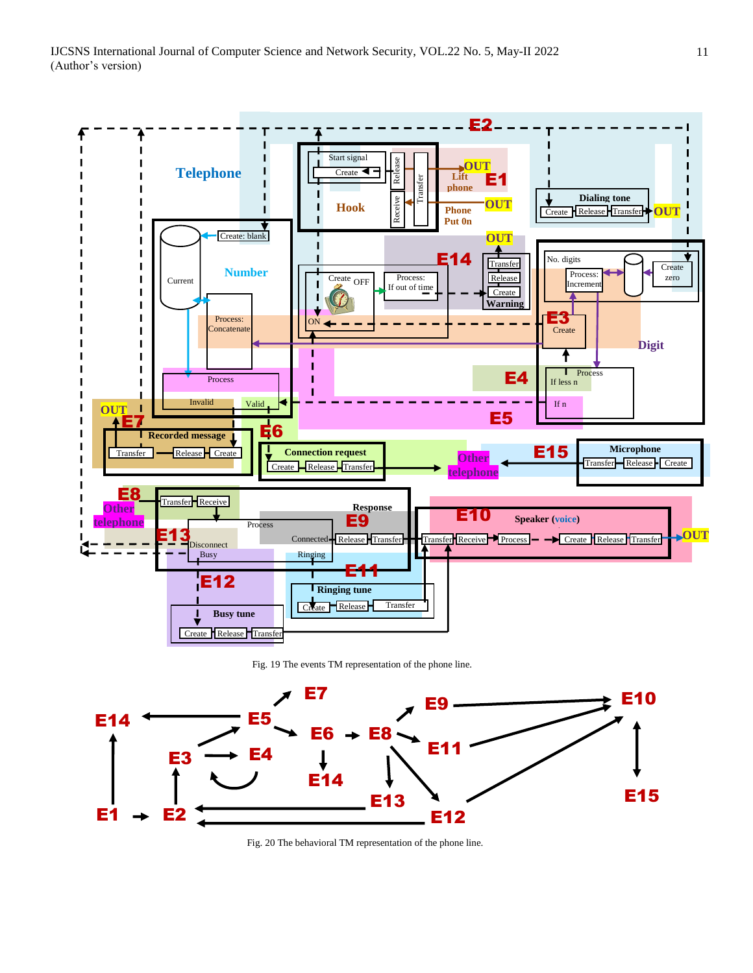



Fig. 20 The behavioral TM representation of the phone line.